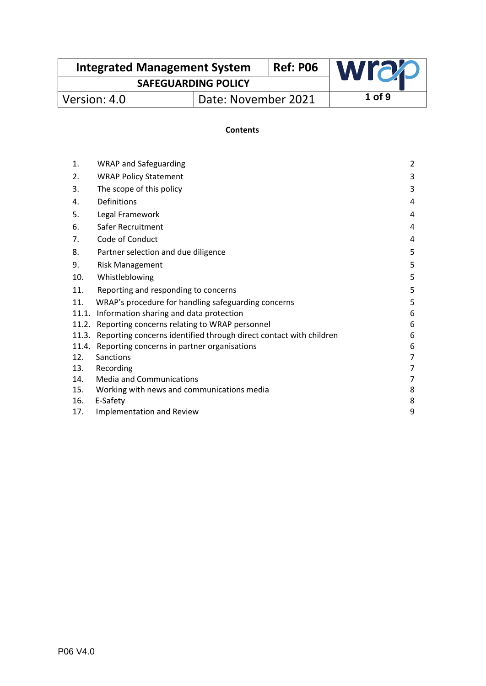| <b>Integrated Management System</b> |                     | <b>Ref: P06</b> | <b>wrac</b> |
|-------------------------------------|---------------------|-----------------|-------------|
| <b>SAFEGUARDING POLICY</b>          |                     |                 |             |
| Version: 4.0                        | Date: November 2021 |                 | 1 of 9      |

### **Contents**

| 1.    | <b>WRAP and Safeguarding</b>                                       | $\overline{2}$ |
|-------|--------------------------------------------------------------------|----------------|
| 2.    | <b>WRAP Policy Statement</b>                                       | 3              |
| 3.    | The scope of this policy                                           | 3              |
| 4.    | Definitions                                                        | 4              |
| 5.    | Legal Framework                                                    | 4              |
| 6.    | Safer Recruitment                                                  | 4              |
| 7.    | Code of Conduct                                                    | 4              |
| 8.    | Partner selection and due diligence                                | 5              |
| 9.    | <b>Risk Management</b>                                             | 5              |
| 10.   | Whistleblowing                                                     | 5              |
| 11.   | Reporting and responding to concerns                               | 5              |
| 11.   | WRAP's procedure for handling safeguarding concerns                | 5              |
| 11.1. | Information sharing and data protection                            | 6              |
| 11.2. | Reporting concerns relating to WRAP personnel                      | 6              |
| 11.3. | Reporting concerns identified through direct contact with children | 6              |
| 11.4. | Reporting concerns in partner organisations                        | 6              |
| 12.   | Sanctions                                                          | $\overline{7}$ |
| 13.   | Recording                                                          | 7              |
| 14.   | <b>Media and Communications</b>                                    | 7              |
| 15.   | Working with news and communications media                         | 8              |
| 16.   | E-Safety                                                           | 8              |
| 17.   | <b>Implementation and Review</b>                                   | 9              |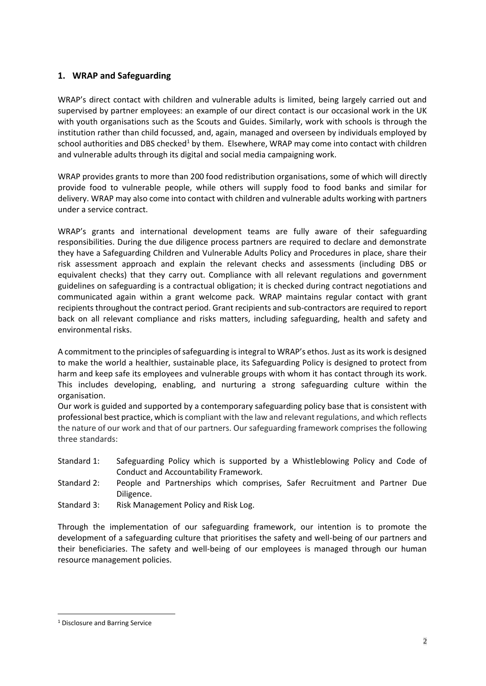# **1. WRAP and Safeguarding**

WRAP's direct contact with children and vulnerable adults is limited, being largely carried out and supervised by partner employees: an example of our direct contact is our occasional work in the UK with youth organisations such as the Scouts and Guides. Similarly, work with schools is through the institution rather than child focussed, and, again, managed and overseen by individuals employed by school authorities and DBS checked<sup>1</sup> by them. Elsewhere, WRAP may come into contact with children and vulnerable adults through its digital and social media campaigning work.

WRAP provides grants to more than 200 food redistribution organisations, some of which will directly provide food to vulnerable people, while others will supply food to food banks and similar for delivery. WRAP may also come into contact with children and vulnerable adults working with partners under a service contract.

WRAP's grants and international development teams are fully aware of their safeguarding responsibilities. During the due diligence process partners are required to declare and demonstrate they have a Safeguarding Children and Vulnerable Adults Policy and Procedures in place, share their risk assessment approach and explain the relevant checks and assessments (including DBS or equivalent checks) that they carry out. Compliance with all relevant regulations and government guidelines on safeguarding is a contractual obligation; it is checked during contract negotiations and communicated again within a grant welcome pack. WRAP maintains regular contact with grant recipients throughout the contract period. Grant recipients and sub-contractors are required to report back on all relevant compliance and risks matters, including safeguarding, health and safety and environmental risks.

A commitment to the principles of safeguarding is integral to WRAP's ethos. Just as its work is designed to make the world a healthier, sustainable place, its Safeguarding Policy is designed to protect from harm and keep safe its employees and vulnerable groups with whom it has contact through its work. This includes developing, enabling, and nurturing a strong safeguarding culture within the organisation.

Our work is guided and supported by a contemporary safeguarding policy base that is consistent with professional best practice, which is compliant with the law and relevant regulations, and which reflects the nature of our work and that of our partners. Our safeguarding framework comprises the following three standards:

- Standard 1: Safeguarding Policy which is supported by a Whistleblowing Policy and Code of Conduct and Accountability Framework.
- Standard 2: People and Partnerships which comprises, Safer Recruitment and Partner Due Diligence.
- Standard 3: Risk Management Policy and Risk Log.

Through the implementation of our safeguarding framework, our intention is to promote the development of a safeguarding culture that prioritises the safety and well-being of our partners and their beneficiaries. The safety and well-being of our employees is managed through our human resource management policies.

<sup>&</sup>lt;sup>1</sup> Disclosure and Barring Service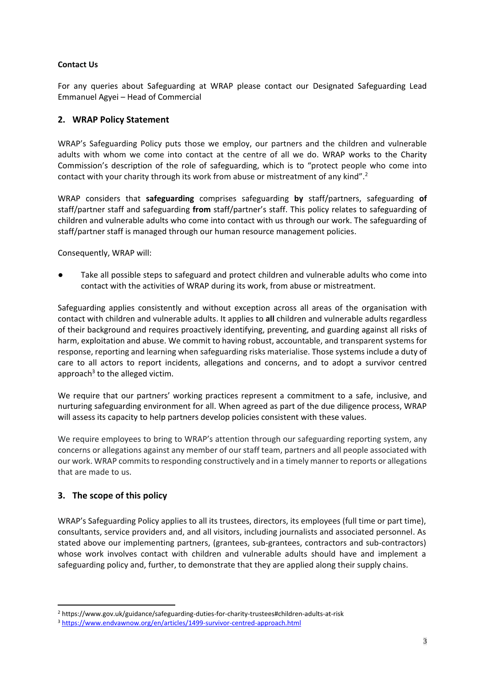#### **Contact Us**

For any queries about Safeguarding at WRAP please contact our Designated Safeguarding Lead Emmanuel Agyei – Head of Commercial

### **2. WRAP Policy Statement**

WRAP's Safeguarding Policy puts those we employ, our partners and the children and vulnerable adults with whom we come into contact at the centre of all we do. WRAP works to the Charity Commission's description of the role of safeguarding, which is to "protect people who come into contact with your charity through its work from abuse or mistreatment of any kind".<sup>2</sup>

WRAP considers that **safeguarding** comprises safeguarding **by** staff/partners, safeguarding **of**  staff/partner staff and safeguarding **from** staff/partner's staff. This policy relates to safeguarding of children and vulnerable adults who come into contact with us through our work. The safeguarding of staff/partner staff is managed through our human resource management policies.

Consequently, WRAP will:

Take all possible steps to safeguard and protect children and vulnerable adults who come into contact with the activities of WRAP during its work, from abuse or mistreatment.

Safeguarding applies consistently and without exception across all areas of the organisation with contact with children and vulnerable adults. It applies to **all** children and vulnerable adults regardless of their background and requires proactively identifying, preventing, and guarding against all risks of harm, exploitation and abuse. We commit to having robust, accountable, and transparent systems for response, reporting and learning when safeguarding risks materialise. Those systems include a duty of care to all actors to report incidents, allegations and concerns, and to adopt a survivor centred approach<sup>3</sup> to the alleged victim.

We require that our partners' working practices represent a commitment to a safe, inclusive, and nurturing safeguarding environment for all. When agreed as part of the due diligence process, WRAP will assess its capacity to help partners develop policies consistent with these values.

We require employees to bring to WRAP's attention through our safeguarding reporting system, any concerns or allegations against any member of our staff team, partners and all people associated with our work. WRAP commits to responding constructively and in a timely manner to reports or allegations that are made to us.

### **3. The scope of this policy**

WRAP's Safeguarding Policy applies to all its trustees, directors, its employees (full time or part time), consultants, service providers and, and all visitors, including journalists and associated personnel. As stated above our implementing partners, (grantees, sub-grantees, contractors and sub-contractors) whose work involves contact with children and vulnerable adults should have and implement a safeguarding policy and, further, to demonstrate that they are applied along their supply chains.

<sup>2</sup> https://www.gov.uk/guidance/safeguarding-duties-for-charity-trustees#children-adults-at-risk

<sup>3</sup> <https://www.endvawnow.org/en/articles/1499-survivor-centred-approach.html>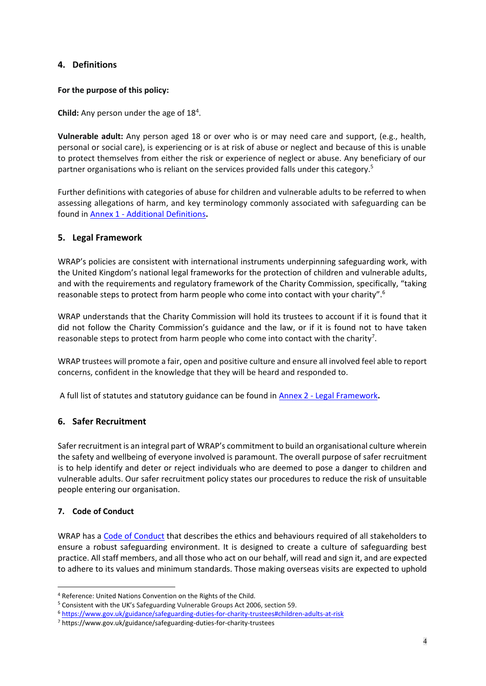# **4. Definitions**

#### **For the purpose of this policy:**

Child: Any person under the age of 18<sup>4</sup>.

**Vulnerable adult:** Any person aged 18 or over who is or may need care and support, (e.g., health, personal or social care), is experiencing or is at risk of abuse or neglect and because of this is unable to protect themselves from either the risk or experience of neglect or abuse. Any beneficiary of our partner organisations who is reliant on the services provided falls under this category.<sup>5</sup>

Further definitions with categories of abuse for children and vulnerable adults to be referred to when assessing allegations of harm, and key terminology commonly associated with safeguarding can be found in Annex 1 - [Additional Definitions](https://wrap-my.sharepoint.com/:w:/g/personal/vikki_nelms_wrap_org_uk/EXmhcqgQDNpLi1SZrVISqmsBIpW3XbR5zSvtukxtC3tapQ?e=GkUUEu)**.** 

### **5. Legal Framework**

WRAP's policies are consistent with international instruments underpinning safeguarding work, with the United Kingdom's national legal frameworks for the protection of children and vulnerable adults, and with the requirements and regulatory framework of the Charity Commission, specifically, "taking reasonable steps to protect from harm people who come into contact with your charity".<sup>6</sup>

WRAP understands that the Charity Commission will hold its trustees to account if it is found that it did not follow the Charity Commission's guidance and the law, or if it is found not to have taken reasonable steps to protect from harm people who come into contact with the charity<sup>7</sup>.

WRAP trustees will promote a fair, open and positive culture and ensure all involved feel able to report concerns, confident in the knowledge that they will be heard and responded to.

A full list of statutes and statutory guidance can be found in Annex 2 - [Legal Framework](https://wrap-my.sharepoint.com/:w:/g/personal/vikki_nelms_wrap_org_uk/ETS9z9IvcBVBiyVtPZTUMkgBe2HSXh3nLqeghYKIjX5uyA?e=dmTOTM)**.** 

### **6. Safer Recruitment**

Safer recruitment is an integral part of WRAP's commitment to build an organisational culture wherein the safety and wellbeing of everyone involved is paramount. The overall purpose of safer recruitment is to help identify and deter or reject individuals who are deemed to pose a danger to children and vulnerable adults. Our safer recruitment policy states our procedures to reduce the risk of unsuitable people entering our organisation.

### **7. Code of Conduct**

WRAP has a [Code of Conduct](https://wrap-my.sharepoint.com/:w:/g/personal/vikki_nelms_wrap_org_uk/EUvX0C9DchdOuxvXohgRN7EBdderbD8rqv7wJKS8Yk5IAA?e=gYs56N) that describes the ethics and behaviours required of all stakeholders to ensure a robust safeguarding environment. It is designed to create a culture of safeguarding best practice. All staff members, and all those who act on our behalf, will read and sign it, and are expected to adhere to its values and minimum standards. Those making overseas visits are expected to uphold

<sup>4</sup> Reference: United Nations Convention on the Rights of the Child.

<sup>5</sup> Consistent with the UK's Safeguarding Vulnerable Groups Act 2006, section 59.

<sup>6</sup> <https://www.gov.uk/guidance/safeguarding-duties-for-charity-trustees#children-adults-at-risk>

<sup>7</sup> https://www.gov.uk/guidance/safeguarding-duties-for-charity-trustees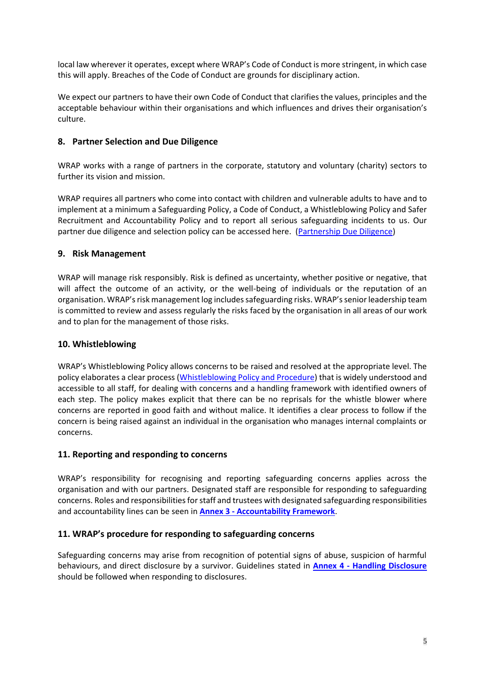local law wherever it operates, except where WRAP's Code of Conduct is more stringent, in which case this will apply. Breaches of the Code of Conduct are grounds for disciplinary action.

We expect our partners to have their own Code of Conduct that clarifies the values, principles and the acceptable behaviour within their organisations and which influences and drives their organisation's culture.

# **8. Partner Selection and Due Diligence**

WRAP works with a range of partners in the corporate, statutory and voluntary (charity) sectors to further its vision and mission.

WRAP requires all partners who come into contact with children and vulnerable adults to have and to implement at a minimum a Safeguarding Policy, a Code of Conduct, a Whistleblowing Policy and Safer Recruitment and Accountability Policy and to report all serious safeguarding incidents to us. Our partner due diligence and selection policy can be accessed here. [\(Partnership Due Diligence\)](https://wrap-my.sharepoint.com/:w:/g/personal/vikki_nelms_wrap_org_uk/EYNz-LqXC4xIlmyOBaamlXoBBYWu5m9K5Bthncc0cM8z0Q?e=UbEHdQ)

# **9. Risk Management**

WRAP will manage risk responsibly. Risk is defined as uncertainty, whether positive or negative, that will affect the outcome of an activity, or the well-being of individuals or the reputation of an organisation. WRAP's risk management log includes safeguarding risks. WRAP's senior leadership team is committed to review and assess regularly the risks faced by the organisation in all areas of our work and to plan for the management of those risks.

### **10. Whistleblowing**

WRAP's Whistleblowing Policy allows concerns to be raised and resolved at the appropriate level. The policy elaborates a clear process [\(Whistleblowing Policy and Procedure\)](https://hub.wrap.org.uk/search?7#/document/2330060) that is widely understood and accessible to all staff, for dealing with concerns and a handling framework with identified owners of each step. The policy makes explicit that there can be no reprisals for the whistle blower where concerns are reported in good faith and without malice. It identifies a clear process to follow if the concern is being raised against an individual in the organisation who manages internal complaints or concerns.

### **11. Reporting and responding to concerns**

WRAP's responsibility for recognising and reporting safeguarding concerns applies across the organisation and with our partners. Designated staff are responsible for responding to safeguarding concerns. Roles and responsibilities for staff and trustees with designated safeguarding responsibilities and accountability lines can be seen in **Annex 3 - [Accountability Framework](https://wrap-my.sharepoint.com/:w:/g/personal/vikki_nelms_wrap_org_uk/Eb67J2NhouVDvKQvwC2tyKIBo-YOwlFUKgNdbIgskh-NJg?e=6OosPV)**.

### **11. WRAP's procedure for responding to safeguarding concerns**

Safeguarding concerns may arise from recognition of potential signs of abuse, suspicion of harmful behaviours, and direct disclosure by a survivor. Guidelines stated in **Annex 4 - [Handling Disclosure](https://wrap-my.sharepoint.com/:w:/g/personal/vikki_nelms_wrap_org_uk/EezRpoO692NDveDCvWH0oV0Bwkk0ZT9VqCQ3thSevEZcCQ?e=dc7dTf)** should be followed when responding to disclosures.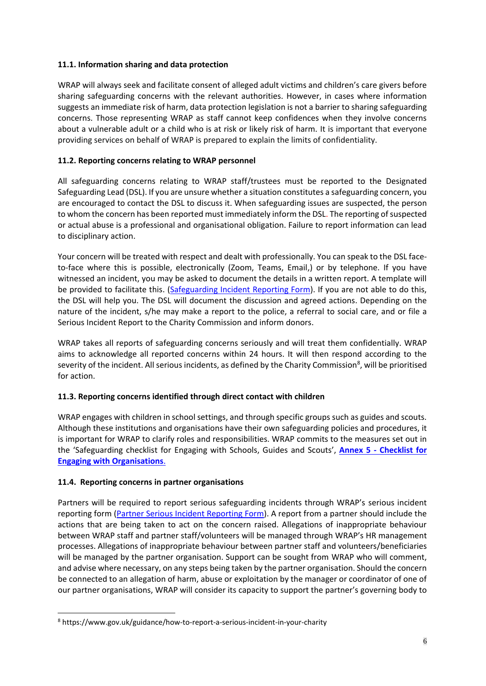### **11.1. Information sharing and data protection**

WRAP will always seek and facilitate consent of alleged adult victims and children's care givers before sharing safeguarding concerns with the relevant authorities. However, in cases where information suggests an immediate risk of harm, data protection legislation is not a barrier to sharing safeguarding concerns. Those representing WRAP as staff cannot keep confidences when they involve concerns about a vulnerable adult or a child who is at risk or likely risk of harm. It is important that everyone providing services on behalf of WRAP is prepared to explain the limits of confidentiality.

### **11.2. Reporting concerns relating to WRAP personnel**

All safeguarding concerns relating to WRAP staff/trustees must be reported to the Designated Safeguarding Lead (DSL). If you are unsure whether a situation constitutes a safeguarding concern, you are encouraged to contact the DSL to discuss it. When safeguarding issues are suspected, the person to whom the concern has been reported must immediately inform the DSL. The reporting of suspected or actual abuse is a professional and organisational obligation. Failure to report information can lead to disciplinary action.

Your concern will be treated with respect and dealt with professionally. You can speak to the DSL faceto-face where this is possible, electronically (Zoom, Teams, Email,) or by telephone. If you have witnessed an incident, you may be asked to document the details in a written report. A template will be provided to facilitate this. [\(Safeguarding Incident Reporting Form\)](https://hub.wrap.org.uk/search?7#/document/13556781). If you are not able to do this, the DSL will help you. The DSL will document the discussion and agreed actions. Depending on the nature of the incident, s/he may make a report to the police, a referral to social care, and or file a Serious Incident Report to the Charity Commission and inform donors.

WRAP takes all reports of safeguarding concerns seriously and will treat them confidentially. WRAP aims to acknowledge all reported concerns within 24 hours. It will then respond according to the severity of the incident. All serious incidents, as defined by the Charity Commission<sup>8</sup>, will be prioritised for action.

### **11.3. Reporting concerns identified through direct contact with children**

WRAP engages with children in school settings, and through specific groups such as guides and scouts. Although these institutions and organisations have their own safeguarding policies and procedures, it is important for WRAP to clarify roles and responsibilities. WRAP commits to the measures set out in the 'Safeguarding checklist for Engaging with Schools, Guides and Scouts', **Annex 5 - [Checklist for](https://wrap-my.sharepoint.com/:w:/g/personal/vikki_nelms_wrap_org_uk/EX-WBqTI_hdHiOzZJTN1R80BO-mmLe1g77WSSLeDpsxXkA?e=pEvdQe)  [Engaging with Organisations](https://wrap-my.sharepoint.com/:w:/g/personal/vikki_nelms_wrap_org_uk/EX-WBqTI_hdHiOzZJTN1R80BO-mmLe1g77WSSLeDpsxXkA?e=pEvdQe)**.

#### **11.4. Reporting concerns in partner organisations**

Partners will be required to report serious safeguarding incidents through WRAP's serious incident reporting form (Partner [Serious Incident Reporting Form\)](https://hub.wrap.org.uk/search?7#/document/13556744). A report from a partner should include the actions that are being taken to act on the concern raised. Allegations of inappropriate behaviour between WRAP staff and partner staff/volunteers will be managed through WRAP's HR management processes. Allegations of inappropriate behaviour between partner staff and volunteers/beneficiaries will be managed by the partner organisation. Support can be sought from WRAP who will comment, and advise where necessary, on any steps being taken by the partner organisation. Should the concern be connected to an allegation of harm, abuse or exploitation by the manager or coordinator of one of our partner organisations, WRAP will consider its capacity to support the partner's governing body to

<sup>8</sup> https://www.gov.uk/guidance/how-to-report-a-serious-incident-in-your-charity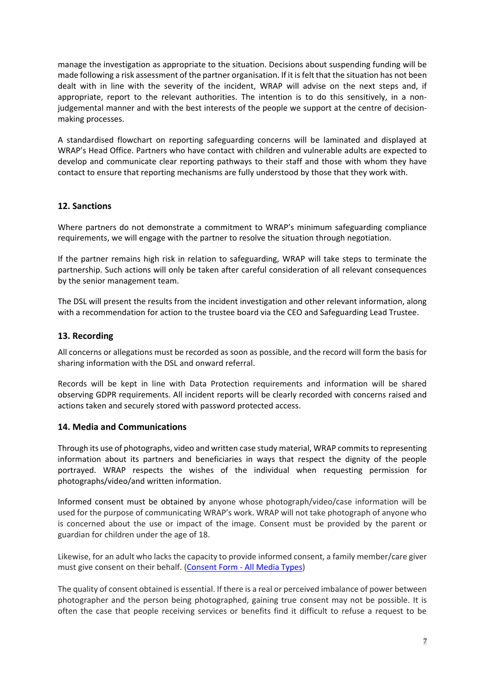manage the investigation as appropriate to the situation. Decisions about suspending funding will be made following a risk assessment of the partner organisation. If it is felt that the situation has not been dealt with in line with the severity of the incident, WRAP will advise on the next steps and, if appropriate, report to the relevant authorities. The intention is to do this sensitively, in a nonjudgemental manner and with the best interests of the people we support at the centre of decisionmaking processes.

A standardised flowchart on reporting safeguarding concerns will be laminated and displayed at WRAP's Head Office. Partners who have contact with children and vulnerable adults are expected to develop and communicate clear reporting pathways to their staff and those with whom they have contact to ensure that reporting mechanisms are fully understood by those that they work with.

### **12. Sanctions**

Where partners do not demonstrate a commitment to WRAP's minimum safeguarding compliance requirements, we will engage with the partner to resolve the situation through negotiation.

If the partner remains high risk in relation to safeguarding, WRAP will take steps to terminate the partnership. Such actions will only be taken after careful consideration of all relevant consequences by the senior management team.

The DSL will present the results from the incident investigation and other relevant information, along with a recommendation for action to the trustee board via the CEO and Safeguarding Lead Trustee.

### **13. Recording**

All concerns or allegations must be recorded as soon as possible, and the record will form the basis for sharing information with the DSL and onward referral.

Records will be kept in line with Data Protection requirements and information will be shared observing GDPR requirements. All incident reports will be clearly recorded with concerns raised and actions taken and securely stored with password protected access.

### **14. Media and Communications**

Through its use of photographs, video and written case study material, WRAP commits to representing information about its partners and beneficiaries in ways that respect the dignity of the people portrayed. WRAP respects the wishes of the individual when requesting permission for photographs/video/and written information.

Informed consent must be obtained by anyone whose photograph/video/case information will be used for the purpose of communicating WRAP's work. WRAP will not take photograph of anyone who is concerned about the use or impact of the image. Consent must be provided by the parent or guardian for children under the age of 18.

Likewise, for an adult who lacks the capacity to provide informed consent, a family member/care giver must give consent on their behalf. (Consent Form - [All Media Types\)](https://wrap-my.sharepoint.com/:w:/g/personal/vikki_nelms_wrap_org_uk/EfeYl7-GPjVCpfJhapd3VeABQQXBsP7r2RfFEkN0EtUn-g?e=5mz3f5)

The quality of consent obtained is essential. If there is a real or perceived imbalance of power between photographer and the person being photographed, gaining true consent may not be possible. It is often the case that people receiving services or benefits find it difficult to refuse a request to be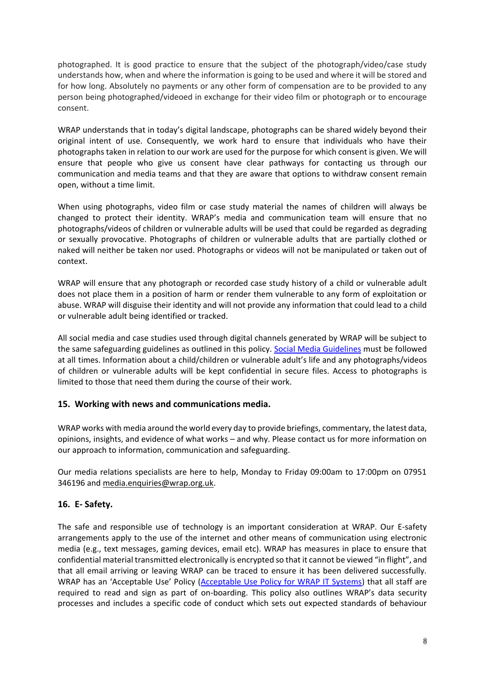photographed. It is good practice to ensure that the subject of the photograph/video/case study understands how, when and where the information is going to be used and where it will be stored and for how long. Absolutely no payments or any other form of compensation are to be provided to any person being photographed/videoed in exchange for their video film or photograph or to encourage consent.

WRAP understands that in today's digital landscape, photographs can be shared widely beyond their original intent of use. Consequently, we work hard to ensure that individuals who have their photographs taken in relation to our work are used for the purpose for which consent is given. We will ensure that people who give us consent have clear pathways for contacting us through our communication and media teams and that they are aware that options to withdraw consent remain open, without a time limit.

When using photographs, video film or case study material the names of children will always be changed to protect their identity. WRAP's media and communication team will ensure that no photographs/videos of children or vulnerable adults will be used that could be regarded as degrading or sexually provocative. Photographs of children or vulnerable adults that are partially clothed or naked will neither be taken nor used. Photographs or videos will not be manipulated or taken out of context.

WRAP will ensure that any photograph or recorded case study history of a child or vulnerable adult does not place them in a position of harm or render them vulnerable to any form of exploitation or abuse. WRAP will disguise their identity and will not provide any information that could lead to a child or vulnerable adult being identified or tracked.

All social media and case studies used through digital channels generated by WRAP will be subject to the same safeguarding guidelines as outlined in this policy. [Social Media Guidelines](https://hub.wrap.org.uk/search?7#/document/2351162) must be followed at all times. Information about a child/children or vulnerable adult's life and any photographs/videos of children or vulnerable adults will be kept confidential in secure files. Access to photographs is limited to those that need them during the course of their work.

### **15. Working with news and communications media.**

WRAP works with media around the world every day to provide briefings, commentary, the latest data, opinions, insights, and evidence of what works – and why. Please contact us for more information on our approach to information, communication and safeguarding.

Our media relations specialists are here to help, Monday to Friday 09:00am to 17:00pm on 07951 346196 and [media.enquiries@wrap.org.uk.](mailto:media.enquiries@wrap.org.uk)

#### **16. E- Safety.**

The safe and responsible use of technology is an important consideration at WRAP. Our E-safety arrangements apply to the use of the internet and other means of communication using electronic media (e.g., text messages, gaming devices, email etc). WRAP has measures in place to ensure that confidential material transmitted electronically is encrypted so that it cannot be viewed "in flight", and that all email arriving or leaving WRAP can be traced to ensure it has been delivered successfully. WRAP has an 'Acceptable Use' Policy [\(Acceptable Use Policy for WRAP IT Systems\)](https://hub.wrap.org.uk/search?11#/document/2292066) that all staff are required to read and sign as part of on-boarding. This policy also outlines WRAP's data security processes and includes a specific code of conduct which sets out expected standards of behaviour